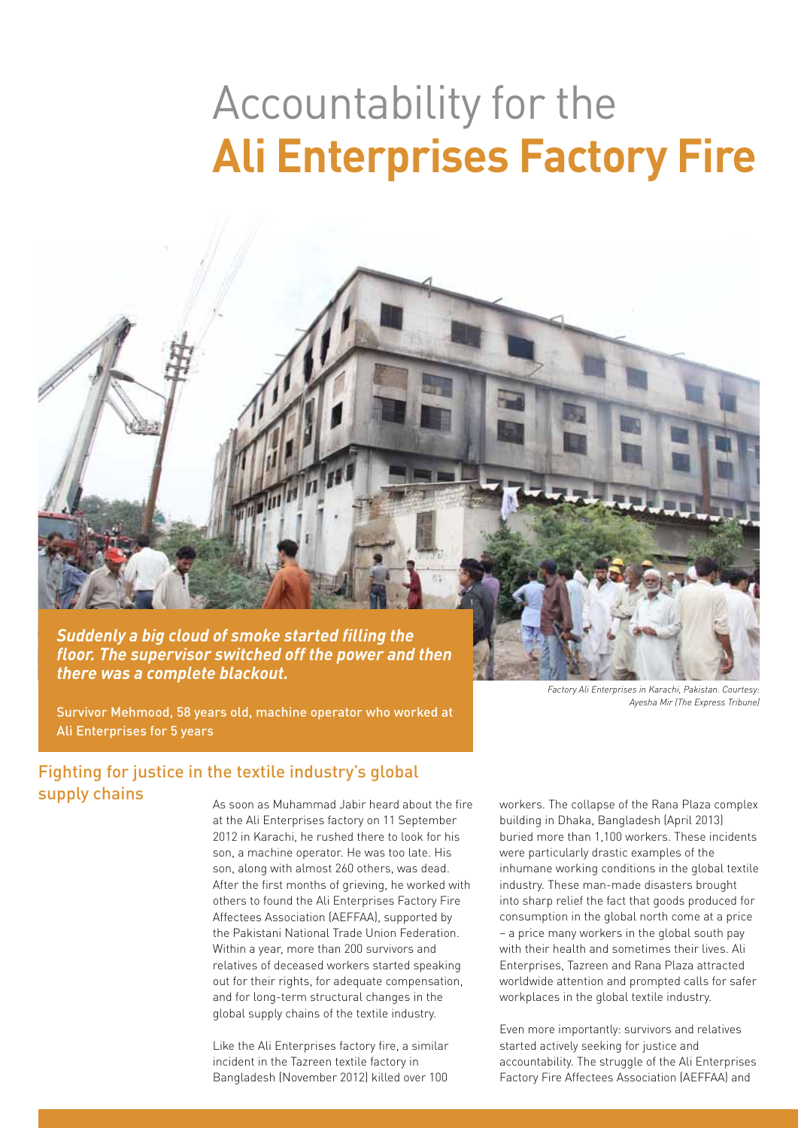# Accountability for the **Ali Enterprises Factory Fire**

*Suddenly a big cloud of smoke started filling the floor. The supervisor switched off the power and then there was a complete blackout.*

*Factory Ali Enterprises in Karachi, Pakistan. Courtesy: Ayesha Mir (The Express Tribune)*

Survivor Mehmood, 58 years old, machine operator who worked at Ali Enterprises for 5 years

# Fighting for justice in the textile industry's global supply chains

As soon as Muhammad Jabir heard about the fire at the Ali Enterprises factory on 11 September 2012 in Karachi, he rushed there to look for his son, a machine operator. He was too late. His son, along with almost 260 others, was dead. After the first months of grieving, he worked with others to found the Ali Enterprises Factory Fire Affectees Association (AEFFAA), supported by the Pakistani National Trade Union Federation. Within a year, more than 200 survivors and relatives of deceased workers started speaking out for their rights, for adequate compensation, and for long-term structural changes in the global supply chains of the textile industry.

Like the Ali Enterprises factory fire, a similar incident in the Tazreen textile factory in Bangladesh (November 2012) killed over 100

workers. The collapse of the Rana Plaza complex building in Dhaka, Bangladesh (April 2013) buried more than 1,100 workers. These incidents were particularly drastic examples of the inhumane working conditions in the global textile industry. These man-made disasters brought into sharp relief the fact that goods produced for consumption in the global north come at a price – a price many workers in the global south pay with their health and sometimes their lives. Ali Enterprises, Tazreen and Rana Plaza attracted worldwide attention and prompted calls for safer workplaces in the global textile industry.

Even more importantly: survivors and relatives started actively seeking for justice and accountability. The struggle of the Ali Enterprises Factory Fire Affectees Association (AEFFAA) and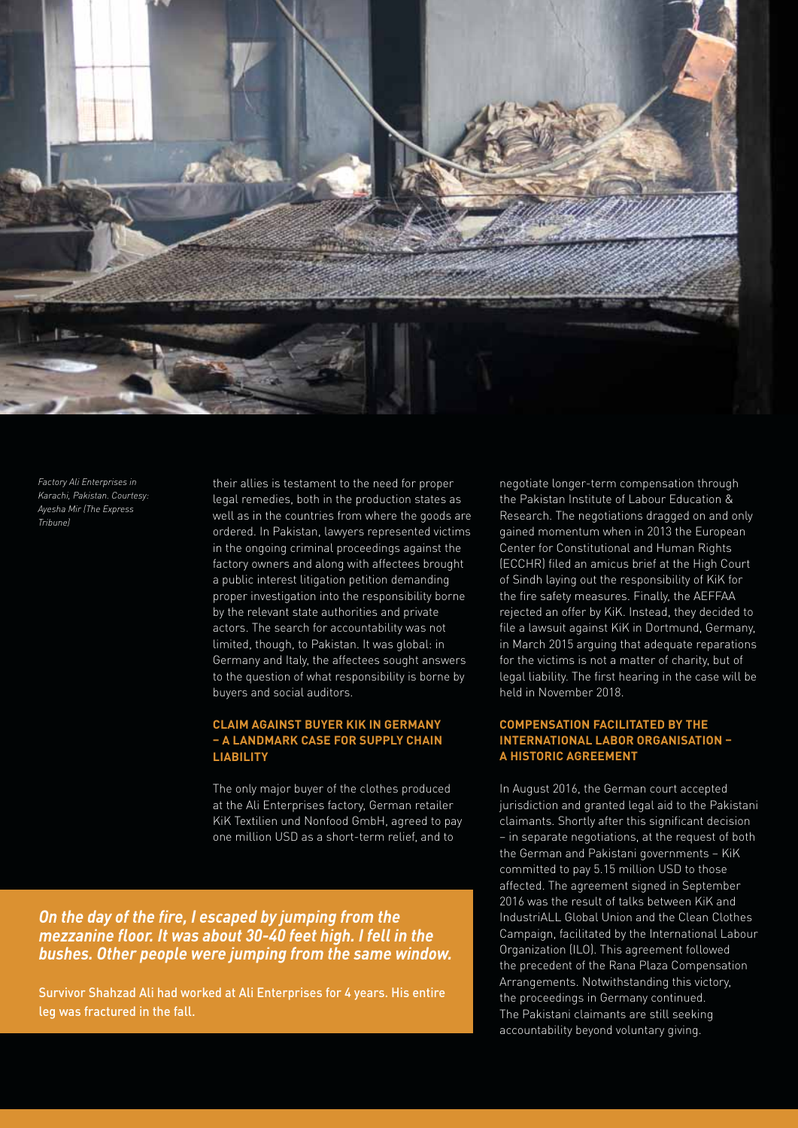

*Factory Ali Enterprises in Karachi, Pakistan. Courtesy: Ayesha Mir (The Express Tribune)*

their allies is testament to the need for proper legal remedies, both in the production states as well as in the countries from where the goods are ordered. In Pakistan, lawyers represented victims in the ongoing criminal proceedings against the factory owners and along with affectees brought a public interest litigation petition demanding proper investigation into the responsibility borne by the relevant state authorities and private actors. The search for accountability was not limited, though, to Pakistan. It was global: in Germany and Italy, the affectees sought answers to the question of what responsibility is borne by buyers and social auditors.

## **Claim against buyer KiK in Germany – a landmark case for supply chain liability**

The only major buyer of the clothes produced at the Ali Enterprises factory, German retailer KiK Textilien und Nonfood GmbH, agreed to pay one million USD as a short-term relief, and to

*On the day of the fire, I escaped by jumping from the mezzanine floor. It was about 30-40 feet high. I fell in the bushes. Other people were jumping from the same window.* 

Survivor Shahzad Ali had worked at Ali Enterprises for 4 years. His entire leg was fractured in the fall.

negotiate longer-term compensation through the Pakistan Institute of Labour Education & Research. The negotiations dragged on and only gained momentum when in 2013 the European Center for Constitutional and Human Rights (ECCHR) filed an amicus brief at the High Court of Sindh laying out the responsibility of KiK for the fire safety measures. Finally, the AEFFAA rejected an offer by KiK. Instead, they decided to file a lawsuit against KiK in Dortmund, Germany, in March 2015 arguing that adequate reparations for the victims is not a matter of charity, but of legal liability. The first hearing in the case will be held in November 2018.

# **Compensation facilitated by the International Labor Organisation – a historic agreement**

In August 2016, the German court accepted jurisdiction and granted legal aid to the Pakistani claimants. Shortly after this significant decision – in separate negotiations, at the request of both the German and Pakistani governments – KiK committed to pay 5.15 million USD to those affected. The agreement signed in September 2016 was the result of talks between KiK and IndustriALL Global Union and the Clean Clothes Campaign, facilitated by the International Labour Organization (ILO). This agreement followed the precedent of the Rana Plaza Compensation Arrangements. Notwithstanding this victory, the proceedings in Germany continued. The Pakistani claimants are still seeking accountability beyond voluntary giving.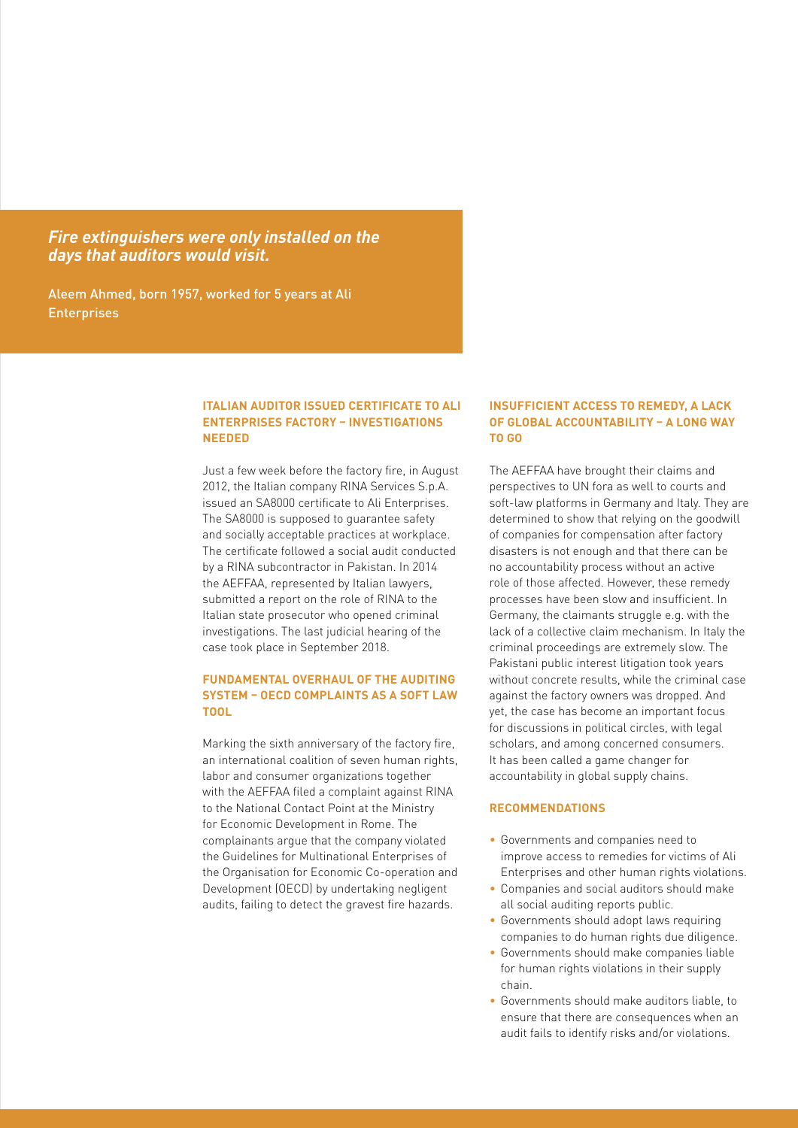*Fire extinguishers were only installed on the days that auditors would visit.*

Aleem Ahmed, born 1957, worked for 5 years at Ali **Enterprises** 

### **Italian auditor issued certificate to Ali Enterprises factory – investigations needed**

Just a few week before the factory fire, in August 2012, the Italian company RINA Services S.p.A. issued an SA8000 certificate to Ali Enterprises. The SA8000 is supposed to guarantee safety and socially acceptable practices at workplace. The certificate followed a social audit conducted by a RINA subcontractor in Pakistan. In 2014 the AEFFAA, represented by Italian lawyers, submitted a report on the role of RINA to the Italian state prosecutor who opened criminal investigations. The last judicial hearing of the case took place in September 2018.

### **Fundamental overhaul of the auditing system – OECD complaints as a soft law tool**

Marking the sixth anniversary of the factory fire, an international coalition of seven human rights, labor and consumer organizations together with the AEFFAA filed a complaint against RINA to the National Contact Point at the Ministry for Economic Development in Rome. The complainants argue that the company violated the Guidelines for Multinational Enterprises of the Organisation for Economic Co-operation and Development (OECD) by undertaking negligent audits, failing to detect the gravest fire hazards.

#### **Insufficient access to remedy, a lack of global accountability – a long way to go**

The AEFFAA have brought their claims and perspectives to UN fora as well to courts and soft-law platforms in Germany and Italy. They are determined to show that relying on the goodwill of companies for compensation after factory disasters is not enough and that there can be no accountability process without an active role of those affected. However, these remedy processes have been slow and insufficient. In Germany, the claimants struggle e.g. with the lack of a collective claim mechanism. In Italy the criminal proceedings are extremely slow. The Pakistani public interest litigation took years without concrete results, while the criminal case against the factory owners was dropped. And yet, the case has become an important focus for discussions in political circles, with legal scholars, and among concerned consumers. It has been called a game changer for accountability in global supply chains.

#### **Recommendations**

- Governments and companies need to improve access to remedies for victims of Ali Enterprises and other human rights violations.
- • Companies and social auditors should make all social auditing reports public.
- Governments should adopt laws requiring companies to do human rights due diligence.
- • Governments should make companies liable for human rights violations in their supply chain.
- • Governments should make auditors liable, to ensure that there are consequences when an audit fails to identify risks and/or violations.